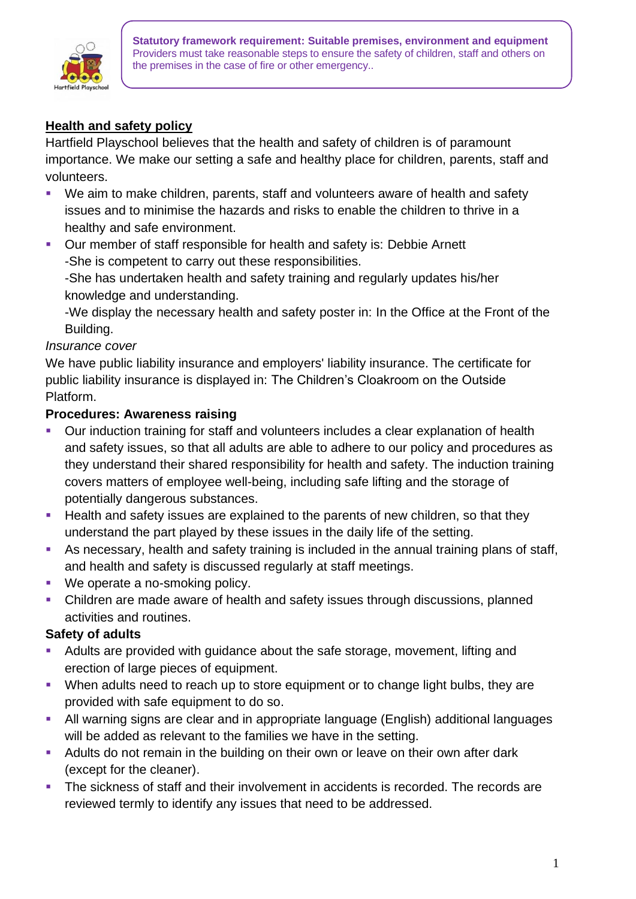

**Statutory framework requirement: Suitable premises, environment and equipment** Providers must take reasonable steps to ensure the safety of children, staff and others on the premises in the case of fire or other emergency..

# **Health and safety policy**

Hartfield Playschool believes that the health and safety of children is of paramount importance. We make our setting a safe and healthy place for children, parents, staff and volunteers.

- We aim to make children, parents, staff and volunteers aware of health and safety issues and to minimise the hazards and risks to enable the children to thrive in a healthy and safe environment.
- Our member of staff responsible for health and safety is: Debbie Arnett -She is competent to carry out these responsibilities.

-She has undertaken health and safety training and regularly updates his/her knowledge and understanding.

-We display the necessary health and safety poster in: In the Office at the Front of the Building.

#### *Insurance cover*

We have public liability insurance and employers' liability insurance. The certificate for public liability insurance is displayed in: The Children's Cloakroom on the Outside Platform.

#### **Procedures: Awareness raising**

- Our induction training for staff and volunteers includes a clear explanation of health and safety issues, so that all adults are able to adhere to our policy and procedures as they understand their shared responsibility for health and safety. The induction training covers matters of employee well-being, including safe lifting and the storage of potentially dangerous substances.
- **EXT** Health and safety issues are explained to the parents of new children, so that they understand the part played by these issues in the daily life of the setting.
- **EXEDENT** As necessary, health and safety training is included in the annual training plans of staff, and health and safety is discussed regularly at staff meetings.
- We operate a no-smoking policy.
- Children are made aware of health and safety issues through discussions, planned activities and routines.

#### **Safety of adults**

- Adults are provided with guidance about the safe storage, movement, lifting and erection of large pieces of equipment.
- When adults need to reach up to store equipment or to change light bulbs, they are provided with safe equipment to do so.
- All warning signs are clear and in appropriate language (English) additional languages will be added as relevant to the families we have in the setting.
- **EXECT** Adults do not remain in the building on their own or leave on their own after dark (except for the cleaner).
- The sickness of staff and their involvement in accidents is recorded. The records are reviewed termly to identify any issues that need to be addressed.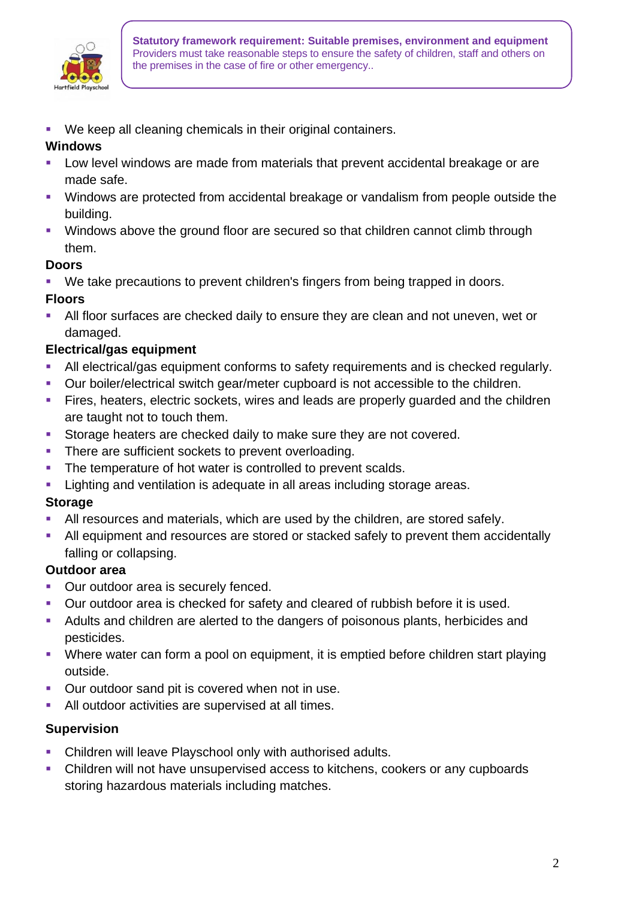

We keep all cleaning chemicals in their original containers.

## **Windows**

- Low level windows are made from materials that prevent accidental breakage or are made safe.
- Windows are protected from accidental breakage or vandalism from people outside the building.
- Windows above the ground floor are secured so that children cannot climb through them.

### **Doors**

- We take precautions to prevent children's fingers from being trapped in doors.
- **Floors**
- **EXT** All floor surfaces are checked daily to ensure they are clean and not uneven, wet or damaged.

# **Electrical/gas equipment**

- **EXECT** All electrical/gas equipment conforms to safety requirements and is checked regularly.
- Our boiler/electrical switch gear/meter cupboard is not accessible to the children.
- **EXTER** Fires, heaters, electric sockets, wires and leads are properly guarded and the children are taught not to touch them.
- **EXECTE Storage heaters are checked daily to make sure they are not covered.**
- **There are sufficient sockets to prevent overloading.**
- **•** The temperature of hot water is controlled to prevent scalds.
- **EXECT** Lighting and ventilation is adequate in all areas including storage areas.

## **Storage**

- **EXTEND FIGHT All resources and materials, which are used by the children, are stored safely.**
- All equipment and resources are stored or stacked safely to prevent them accidentally falling or collapsing.

## **Outdoor area**

- Our outdoor area is securely fenced.
- Our outdoor area is checked for safety and cleared of rubbish before it is used.
- Adults and children are alerted to the dangers of poisonous plants, herbicides and pesticides.
- Where water can form a pool on equipment, it is emptied before children start playing outside.
- Our outdoor sand pit is covered when not in use.
- **EXECT** All outdoor activities are supervised at all times.

## **Supervision**

- Children will leave Playschool only with authorised adults.
- Children will not have unsupervised access to kitchens, cookers or any cupboards storing hazardous materials including matches.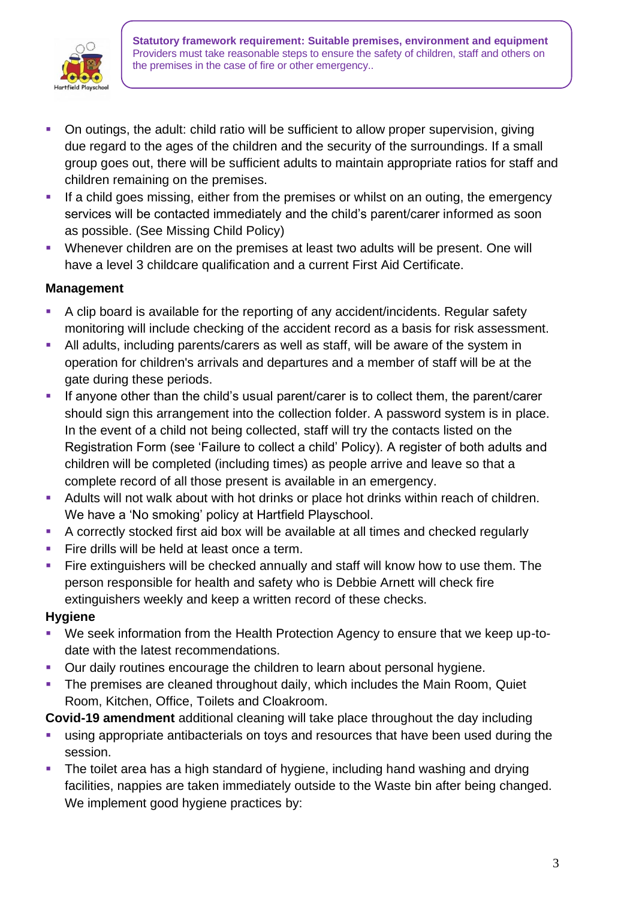

**Statutory framework requirement: Suitable premises, environment and equipment** Providers must take reasonable steps to ensure the safety of children, staff and others on the premises in the case of fire or other emergency..

- On outings, the adult: child ratio will be sufficient to allow proper supervision, giving due regard to the ages of the children and the security of the surroundings. If a small group goes out, there will be sufficient adults to maintain appropriate ratios for staff and children remaining on the premises.
- **EXT** If a child goes missing, either from the premises or whilst on an outing, the emergency services will be contacted immediately and the child's parent/carer informed as soon as possible. (See Missing Child Policy)
- Whenever children are on the premises at least two adults will be present. One will have a level 3 childcare qualification and a current First Aid Certificate.

### **Management**

- A clip board is available for the reporting of any accident/incidents. Regular safety monitoring will include checking of the accident record as a basis for risk assessment.
- **EXECT** All adults, including parents/carers as well as staff, will be aware of the system in operation for children's arrivals and departures and a member of staff will be at the gate during these periods.
- **•** If anyone other than the child's usual parent/carer is to collect them, the parent/carer should sign this arrangement into the collection folder. A password system is in place. In the event of a child not being collected, staff will try the contacts listed on the Registration Form (see 'Failure to collect a child' Policy). A register of both adults and children will be completed (including times) as people arrive and leave so that a complete record of all those present is available in an emergency.
- **EXEDENT Adults will not walk about with hot drinks or place hot drinks within reach of children.** We have a 'No smoking' policy at Hartfield Playschool.
- A correctly stocked first aid box will be available at all times and checked regularly
- **EXECT** Fire drills will be held at least once a term.
- **EXTED EXTERNAL FIRE 2018** Fire extinguishers will be checked annually and staff will know how to use them. The person responsible for health and safety who is Debbie Arnett will check fire extinguishers weekly and keep a written record of these checks.

#### **Hygiene**

- We seek information from the Health Protection Agency to ensure that we keep up-todate with the latest recommendations.
- Our daily routines encourage the children to learn about personal hygiene.
- The premises are cleaned throughout daily, which includes the Main Room, Quiet Room, Kitchen, Office, Toilets and Cloakroom.

**Covid-19 amendment** additional cleaning will take place throughout the day including

- **EXECT** using appropriate antibacterials on toys and resources that have been used during the session.
- The toilet area has a high standard of hygiene, including hand washing and drying facilities, nappies are taken immediately outside to the Waste bin after being changed. We implement good hygiene practices by: